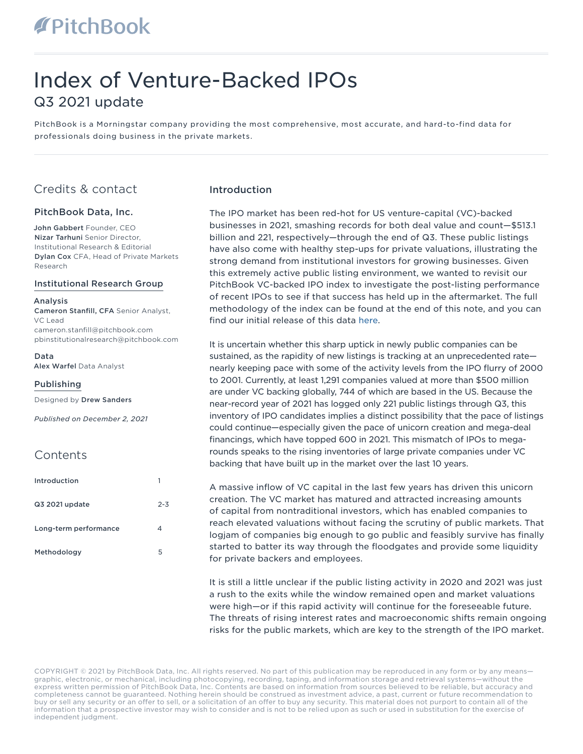### Index of Venture-Backed IPOs Q3 2021 update

PitchBook is a Morningstar company providing the most comprehensive, most accurate, and hard-to-find data for professionals doing business in the private markets.

### Credits & contact

#### PitchBook Data, Inc.

John Gabbert Founder, CEO Nizar Tarhuni Senior Director, Institutional Research & Editorial Dylan Cox CFA, Head of Private Markets Research

#### Institutional Research Group

#### Analysis Cameron Stanfill, CFA Senior Analyst,

VC Lead cameron.stanfill@pitchbook.com pbinstitutionalresearch@pitchbook.com

Data

Alex Warfel Data Analyst

#### Publishing

Designed by Drew Sanders

*Published on December 2, 2021* 

### **Contents**

| Introduction          |         |
|-----------------------|---------|
| Q3 2021 update        | $2 - 3$ |
| Long-term performance | 4       |
| Methodology           | 5       |

#### Introduction

The IPO market has been red-hot for US venture-capital (VC)-backed businesses in 2021, smashing records for both deal value and count—\$513.1 billion and 221, respectively—through the end of Q3. These public listings have also come with healthy step-ups for private valuations, illustrating the strong demand from institutional investors for growing businesses. Given this extremely active public listing environment, we wanted to revisit our PitchBook VC-backed IPO index to investigate the post-listing performance of recent IPOs to see if that success has held up in the aftermarket. The full methodology of the index can be found at the end of this note, and you can find our initial release of this data [here.](https://files.pitchbook.com/website/files/pdf/PitchBook_Q3_2020_Analyst_Note_Index_of_Venture-Backed_IPOs_an_Analysis.pdf)

It is uncertain whether this sharp uptick in newly public companies can be sustained, as the rapidity of new listings is tracking at an unprecedented rate nearly keeping pace with some of the activity levels from the IPO flurry of 2000 to 2001. Currently, at least 1,291 companies valued at more than \$500 million are under VC backing globally, 744 of which are based in the US. Because the near-record year of 2021 has logged only 221 public listings through Q3, this inventory of IPO candidates implies a distinct possibility that the pace of listings could continue—especially given the pace of unicorn creation and mega-deal financings, which have topped 600 in 2021. This mismatch of IPOs to megarounds speaks to the rising inventories of large private companies under VC backing that have built up in the market over the last 10 years.

A massive inflow of VC capital in the last few years has driven this unicorn creation. The VC market has matured and attracted increasing amounts of capital from nontraditional investors, which has enabled companies to reach elevated valuations without facing the scrutiny of public markets. That logjam of companies big enough to go public and feasibly survive has finally started to batter its way through the floodgates and provide some liquidity for private backers and employees.

It is still a little unclear if the public listing activity in 2020 and 2021 was just a rush to the exits while the window remained open and market valuations were high—or if this rapid activity will continue for the foreseeable future. The threats of rising interest rates and macroeconomic shifts remain ongoing risks for the public markets, which are key to the strength of the IPO market.

COPYRIGHT © 2021 by PitchBook Data, Inc. All rights reserved. No part of this publication may be reproduced in any form or by any means graphic, electronic, or mechanical, including photocopying, recording, taping, and information storage and retrieval systems—without the express written permission of PitchBook Data, Inc. Contents are based on information from sources believed to be reliable, but accuracy and completeness cannot be guaranteed. Nothing herein should be construed as investment advice, a past, current or future recommendation to buy or sell any security or an offer to sell, or a solicitation of an offer to buy any security. This material does not purport to contain all of the information that a prospective investor may wish to consider and is not to be relied upon as such or used in substitution for the exercise of independent judgment.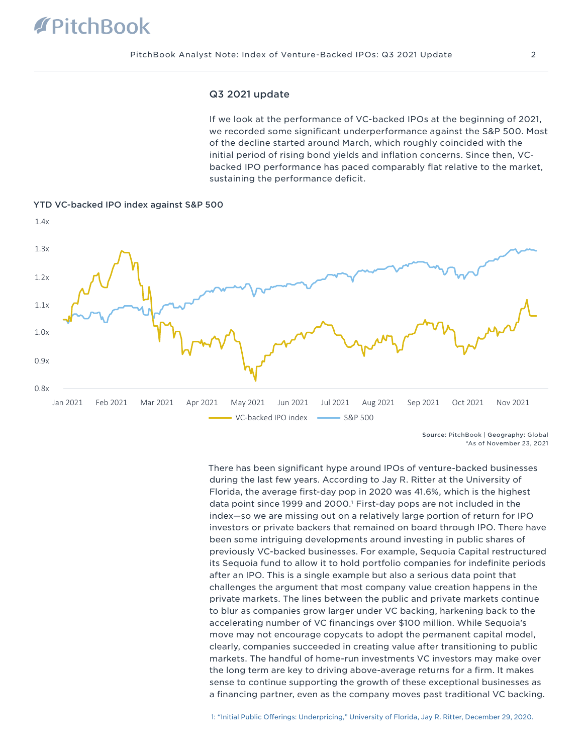## **PitchBook**

#### Q3 2021 update

If we look at the performance of VC-backed IPOs at the beginning of 2021, we recorded some significant underperformance against the S&P 500. Most of the decline started around March, which roughly coincided with the initial period of rising bond yields and inflation concerns. Since then, VCbacked IPO performance has paced comparably flat relative to the market, sustaining the performance deficit.



YTD VC-backed IPO index against S&P 500

Source: PitchBook | Geography: Global \*As of November 23, 2021

There has been significant hype around IPOs of venture-backed businesses during the last few years. According to Jay R. Ritter at the University of Florida, the average first-day pop in 2020 was 41.6%, which is the highest data point since 1999 and 2000.1 First-day pops are not included in the index—so we are missing out on a relatively large portion of return for IPO investors or private backers that remained on board through IPO. There have been some intriguing developments around investing in public shares of previously VC-backed businesses. For example, Sequoia Capital restructured its Sequoia fund to allow it to hold portfolio companies for indefinite periods after an IPO. This is a single example but also a serious data point that challenges the argument that most company value creation happens in the private markets. The lines between the public and private markets continue to blur as companies grow larger under VC backing, harkening back to the accelerating number of VC financings over \$100 million. While Sequoia's move may not encourage copycats to adopt the permanent capital model, clearly, companies succeeded in creating value after transitioning to public markets. The handful of home-run investments VC investors may make over the long term are key to driving above-average returns for a firm. It makes sense to continue supporting the growth of these exceptional businesses as a financing partner, even as the company moves past traditional VC backing.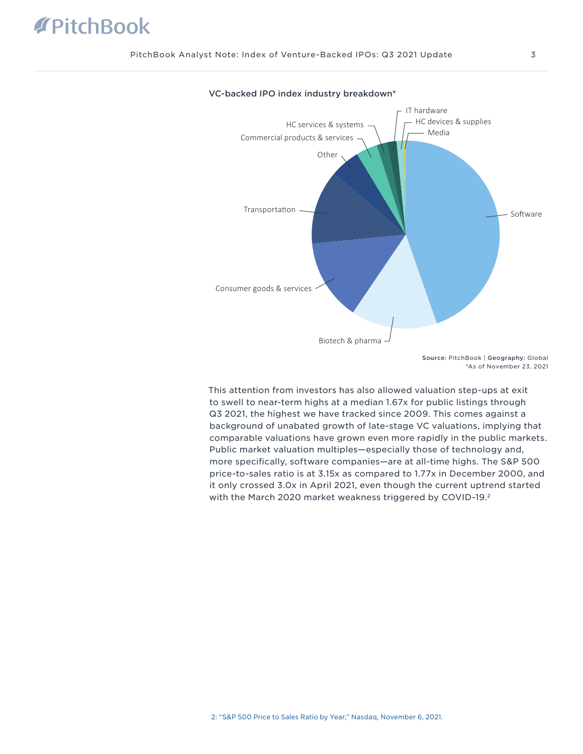## **TPitchBook**



#### VC-backed IPO index industry breakdown\*

This attention from investors has also allowed valuation step-ups at exit to swell to near-term highs at a median 1.67x for public listings through Q3 2021, the highest we have tracked since 2009. This comes against a background of unabated growth of late-stage VC valuations, implying that comparable valuations have grown even more rapidly in the public markets. Public market valuation multiples—especially those of technology and, more specifically, software companies—are at all-time highs. The S&P 500 price-to-sales ratio is at 3.15x as compared to 1.77x in December 2000, and it only crossed 3.0x in April 2021, even though the current uptrend started with the March 2020 market weakness triggered by COVID-19.2

Source: PitchBook | Geography: Global \*As of November 23, 2021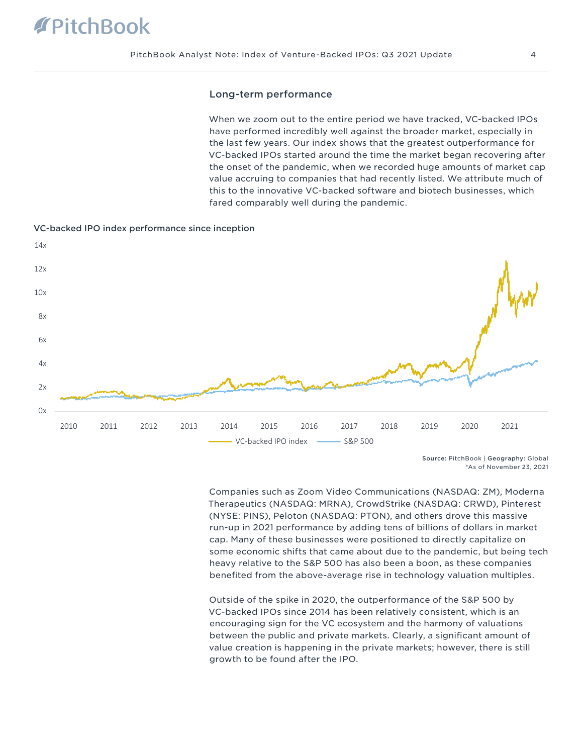# **PitchBook**

#### Long-term performance

When we zoom out to the entire period we have tracked, VC-backed IPOs have performed incredibly well against the broader market, especially in the last few years. Our index shows that the greatest outperformance for VC-backed IPOs started around the time the market began recovering after the onset of the pandemic, when we recorded huge amounts of market cap value accruing to companies that had recently listed. We attribute much of this to the innovative VC-backed software and biotech businesses, which fared comparably well during the pandemic.



#### VC-backed IPO index performance since inception

Source: PitchBook | Geography: Global \*As of November 23, 2021

Companies such as Zoom Video Communications (NASDAQ: ZM), Moderna Therapeutics (NASDAQ: MRNA), CrowdStrike (NASDAQ: CRWD), Pinterest (NYSE: PINS), Peloton (NASDAQ: PTON), and others drove this massive run-up in 2021 performance by adding tens of billions of dollars in market cap. Many of these businesses were positioned to directly capitalize on some economic shifts that came about due to the pandemic, but being tech heavy relative to the S&P 500 has also been a boon, as these companies benefited from the above-average rise in technology valuation multiples.

Outside of the spike in 2020, the outperformance of the S&P 500 by VC-backed IPOs since 2014 has been relatively consistent, which is an encouraging sign for the VC ecosystem and the harmony of valuations between the public and private markets. Clearly, a significant amount of value creation is happening in the private markets; however, there is still growth to be found after the IPO.